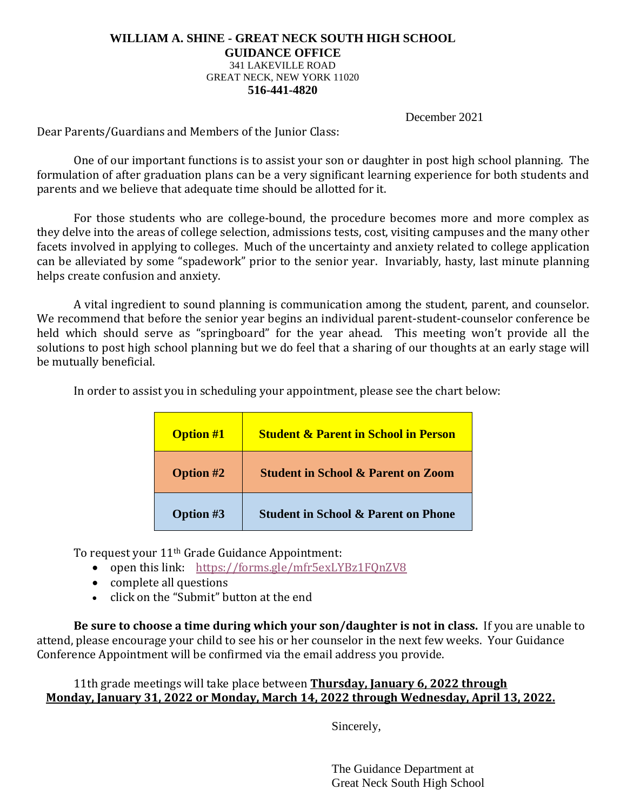## **WILLIAM A. SHINE - GREAT NECK SOUTH HIGH SCHOOL GUIDANCE OFFICE** 341 LAKEVILLE ROAD GREAT NECK, NEW YORK 11020 **516-441-4820**

December 2021

Dear Parents/Guardians and Members of the Junior Class:

One of our important functions is to assist your son or daughter in post high school planning. The formulation of after graduation plans can be a very significant learning experience for both students and parents and we believe that adequate time should be allotted for it.

For those students who are college-bound, the procedure becomes more and more complex as they delve into the areas of college selection, admissions tests, cost, visiting campuses and the many other facets involved in applying to colleges. Much of the uncertainty and anxiety related to college application can be alleviated by some "spadework" prior to the senior year. Invariably, hasty, last minute planning helps create confusion and anxiety.

A vital ingredient to sound planning is communication among the student, parent, and counselor. We recommend that before the senior year begins an individual parent-student-counselor conference be held which should serve as "springboard" for the year ahead. This meeting won't provide all the solutions to post high school planning but we do feel that a sharing of our thoughts at an early stage will be mutually beneficial.

In order to assist you in scheduling your appointment, please see the chart below:

| <b>Option #1</b> | <b>Student &amp; Parent in School in Person</b> |
|------------------|-------------------------------------------------|
| <b>Option #2</b> | <b>Student in School &amp; Parent on Zoom</b>   |
| <b>Option #3</b> | <b>Student in School &amp; Parent on Phone</b>  |

To request your 11th Grade Guidance Appointment:

- open this link: <https://forms.gle/mfr5exLYBz1FQnZV8>
- complete all questions
- click on the "Submit" button at the end

**Be sure to choose a time during which your son/daughter is not in class.** If you are unable to attend, please encourage your child to see his or her counselor in the next few weeks. Your Guidance Conference Appointment will be confirmed via the email address you provide.

11th grade meetings will take place between **Thursday, January 6, 2022 through Monday, January 31, 2022 or Monday, March 14, 2022 through Wednesday, April 13, 2022.**

Sincerely,

The Guidance Department at Great Neck South High School